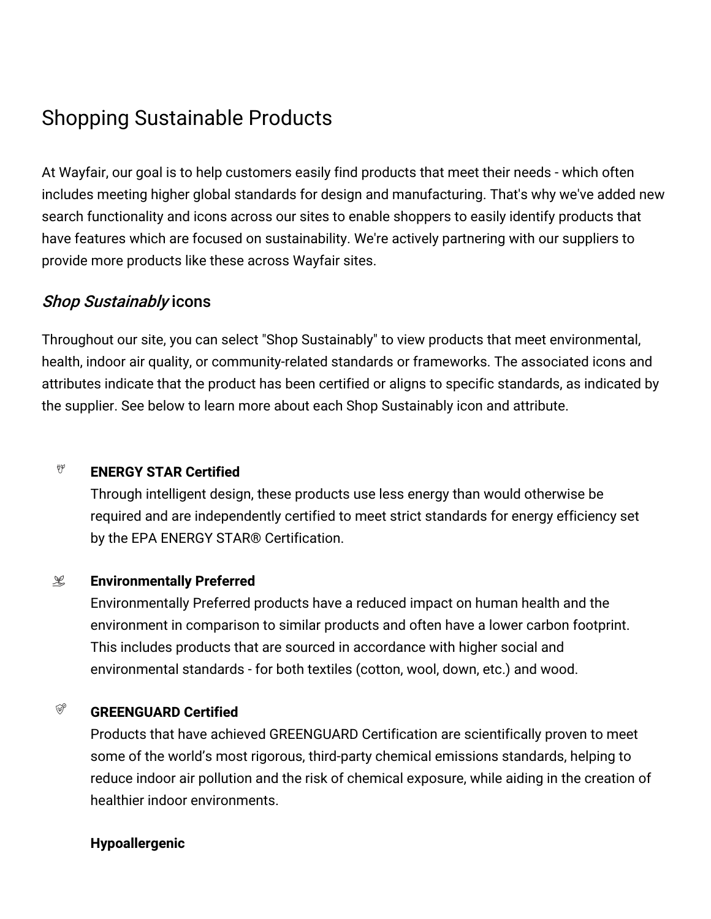# Shopping Sustainable Products

At Wayfair, our goal is to help customers easily find products that meet their needs - which often includes meeting higher global standards for design and manufacturing. That's why we've added new search functionality and icons across our sites to enable shoppers to easily identify products that have features which are focused on sustainability. We're actively partnering with our suppliers to provide more products like these across Wayfair sites.

## Shop Sustainably icons

Throughout our site, you can select "Shop Sustainably" to view products that meet environmental, health, indoor air quality, or community-related standards or frameworks. The associated icons and attributes indicate that the product has been certified or aligns to specific standards, as indicated by the supplier. See below to learn more about each Shop Sustainably icon and attribute.

#### $\psi\varphi$ **ENERGY STAR Certified**

Through intelligent design, these products use less energy than would otherwise be required and are independently certified to meet strict standards for energy efficiency set by the EPA ENERGY STAR® Certification.

#### $\mathscr{L}$ **Environmentally Preferred**

Environmentally Preferred products have a reduced impact on human health and the environment in comparison to similar products and often have a lower carbon footprint. This includes products that are sourced in accordance with higher social and environmental standards - for both textiles (cotton, wool, down, etc.) and wood.

#### $\mathbb{Q}^{\circ}$ **GREENGUARD Certified**

Products that have achieved GREENGUARD Certification are scientifically proven to meet some of the world's most rigorous, third-party chemical emissions standards, helping to reduce indoor air pollution and the risk of chemical exposure, while aiding in the creation of healthier indoor environments.

### **Hypoallergenic**